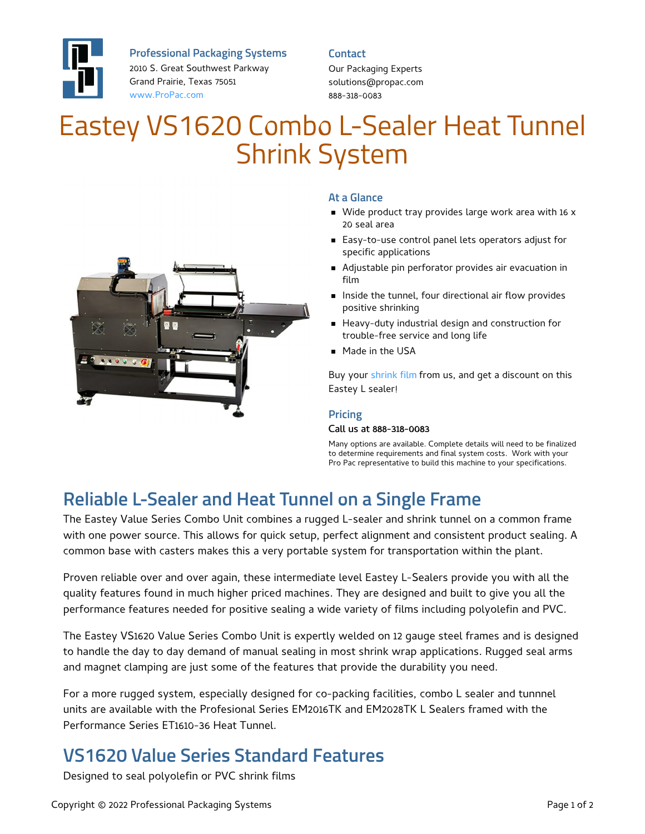

**Professional Packaging Systems**

2010 S. Great Southwest Parkway Grand Prairie, Texas 75051 [www.ProPac.com](https://www.propac.com/)

**Contact**

Our Packaging Experts solutions@propac.com 888-318-0083

# Eastey VS1620 Combo L-Sealer Heat Tunnel Shrink System



### **At a Glance**

- Wide product tray provides large work area with 16 x 20 seal area
- Easy-to-use control panel lets operators adjust for specific applications
- Adjustable pin perforator provides air evacuation in film
- **Inside the tunnel, four directional air flow provides** positive shrinking
- Heavy-duty industrial design and construction for trouble-free service and long life
- **Made in the USA**

Buy your [shrink](file:///packaging-materials/shrink-wrap-film/) film from us, and get a discount on this Eastey L sealer!

#### **Pricing**

#### Call us at 888-318-0083

Many options are available. Complete details will need to be finalized to determine requirements and final system costs. Work with your Pro Pac representative to build this machine to your specifications.

## **Reliable L-Sealer and Heat Tunnel on a Single Frame**

The Eastey Value Series Combo Unit combines a rugged L-sealer and shrink tunnel on a common frame with one power source. This allows for quick setup, perfect alignment and consistent product sealing. A common base with casters makes this a very portable system for transportation within the plant.

Proven reliable over and over again, these intermediate level Eastey L-Sealers provide you with all the quality features found in much higher priced machines. They are designed and built to give you all the performance features needed for positive sealing a wide variety of films including polyolefin and PVC.

The Eastey VS1620 Value Series Combo Unit is expertly welded on 12 gauge steel frames and is designed to handle the day to day demand of manual sealing in most shrink wrap applications. Rugged seal arms and magnet clamping are just some of the features that provide the durability you need.

For a more rugged system, especially designed for co-packing facilities, combo L sealer and tunnnel units are available with the Profesional Series EM2016TK and EM2028TK L Sealers framed with the Performance Series ET1610-36 Heat Tunnel.

## **VS1620 Value Series Standard Features**

Designed to seal polyolefin or PVC shrink films